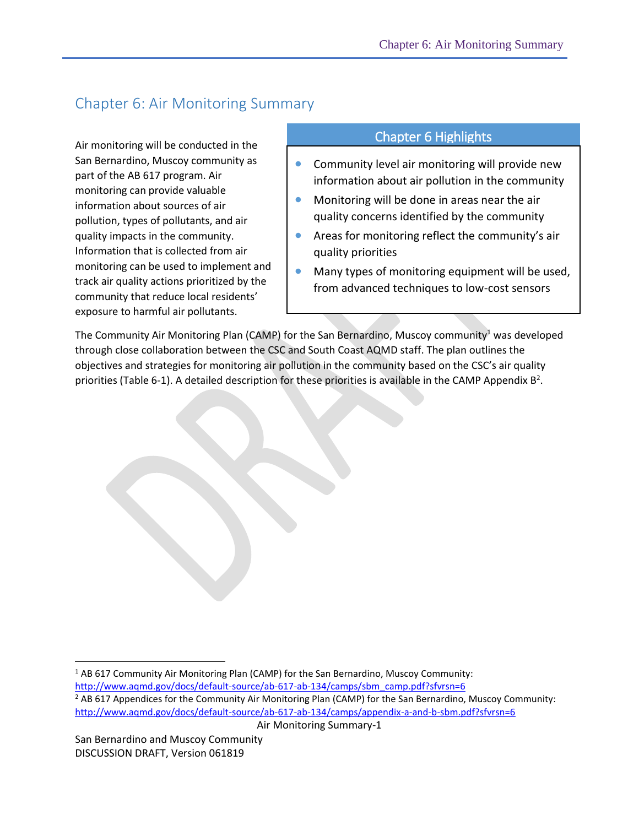## Chapter 6: Air Monitoring Summary

Air monitoring will be conducted in the San Bernardino, Muscoy community as part of the AB 617 program. Air monitoring can provide valuable information about sources of air pollution, types of pollutants, and air quality impacts in the community. Information that is collected from air monitoring can be used to implement and track air quality actions prioritized by the community that reduce local residents' exposure to harmful air pollutants.

## Chapter 6 Highlights

- **•** Community level air monitoring will provide new information about air pollution in the community
- **Monitoring will be done in areas near the air** quality concerns identified by the community
- Areas for monitoring reflect the community's air quality priorities
- Many types of monitoring equipment will be used, from advanced techniques to low-cost sensors

The Community Air Monitoring Plan (CAMP) for the San Bernardino, Muscoy community<sup>1</sup> was developed through close collaboration between the CSC and South Coast AQMD staff. The plan outlines the objectives and strategies for monitoring air pollution in the community based on the CSC's air quality priorities (Table 6-1). A detailed description for these priorities is available in the CAMP Appendix  $B^2$ .

 $\overline{a}$ 

<sup>&</sup>lt;sup>1</sup> AB 617 Community Air Monitoring Plan (CAMP) for the San Bernardino, Muscoy Community:

[http://www.aqmd.gov/docs/default-source/ab-617-ab-134/camps/sbm\\_camp.pdf?sfvrsn=6](http://www.aqmd.gov/docs/default-source/ab-617-ab-134/camps/sbm_camp.pdf?sfvrsn=6)

<sup>&</sup>lt;sup>2</sup> AB 617 Appendices for the Community Air Monitoring Plan (CAMP) for the San Bernardino, Muscoy Community: <http://www.aqmd.gov/docs/default-source/ab-617-ab-134/camps/appendix-a-and-b-sbm.pdf?sfvrsn=6>

Air Monitoring Summary-1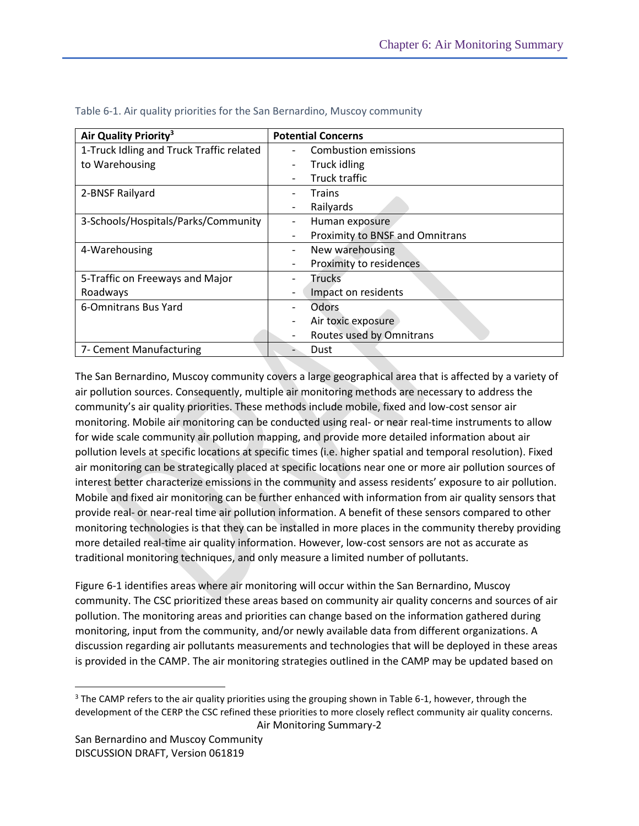| Air Quality Priority <sup>3</sup>        | <b>Potential Concerns</b>                   |
|------------------------------------------|---------------------------------------------|
| 1-Truck Idling and Truck Traffic related | Combustion emissions<br>-                   |
| to Warehousing                           | Truck idling<br>$\overline{\phantom{0}}$    |
|                                          | Truck traffic                               |
| 2-BNSF Railyard                          | Trains                                      |
|                                          | Railyards<br>$\overline{\phantom{a}}$       |
| 3-Schools/Hospitals/Parks/Community      | Human exposure<br>-                         |
|                                          | Proximity to BNSF and Omnitrans<br>-        |
| 4-Warehousing                            | New warehousing<br>$\overline{\phantom{a}}$ |
|                                          | Proximity to residences                     |
| 5-Traffic on Freeways and Major          | Trucks                                      |
| Roadways                                 | Impact on residents                         |
| 6-Omnitrans Bus Yard                     | Odors<br>-                                  |
|                                          | Air toxic exposure                          |
|                                          | Routes used by Omnitrans                    |
| 7- Cement Manufacturing                  | Dust<br>-                                   |

| Table 6-1. Air quality priorities for the San Bernardino, Muscoy community |  |
|----------------------------------------------------------------------------|--|
|----------------------------------------------------------------------------|--|

The San Bernardino, Muscoy community covers a large geographical area that is affected by a variety of air pollution sources. Consequently, multiple air monitoring methods are necessary to address the community's air quality priorities. These methods include mobile, fixed and low-cost sensor air monitoring. Mobile air monitoring can be conducted using real- or near real-time instruments to allow for wide scale community air pollution mapping, and provide more detailed information about air pollution levels at specific locations at specific times (i.e. higher spatial and temporal resolution). Fixed air monitoring can be strategically placed at specific locations near one or more air pollution sources of interest better characterize emissions in the community and assess residents' exposure to air pollution. Mobile and fixed air monitoring can be further enhanced with information from air quality sensors that provide real- or near-real time air pollution information. A benefit of these sensors compared to other monitoring technologies is that they can be installed in more places in the community thereby providing more detailed real-time air quality information. However, low-cost sensors are not as accurate as traditional monitoring techniques, and only measure a limited number of pollutants.

Figure 6-1 identifies areas where air monitoring will occur within the San Bernardino, Muscoy community. The CSC prioritized these areas based on community air quality concerns and sources of air pollution. The monitoring areas and priorities can change based on the information gathered during monitoring, input from the community, and/or newly available data from different organizations. A discussion regarding air pollutants measurements and technologies that will be deployed in these areas is provided in the CAMP. The air monitoring strategies outlined in the CAMP may be updated based on

 $\overline{a}$ 

Air Monitoring Summary-2 <sup>3</sup> The CAMP refers to the air quality priorities using the grouping shown in Table 6-1, however, through the development of the CERP the CSC refined these priorities to more closely reflect community air quality concerns.